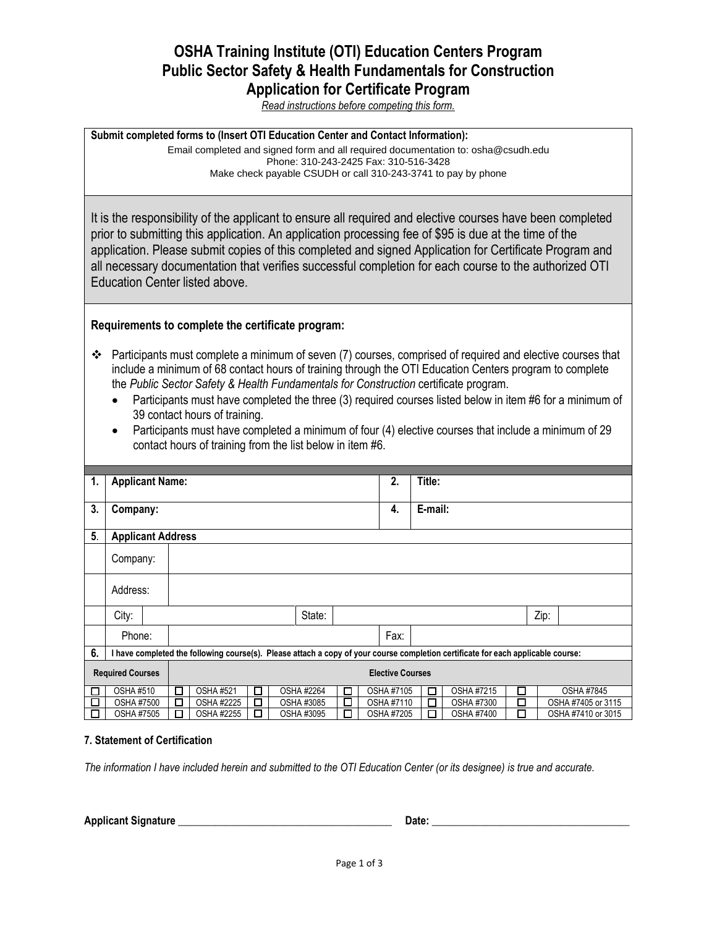# **OSHA Training Institute (OTI) Education Centers Program Public Sector Safety & Health Fundamentals for Construction Application for Certificate Program**

*Read instructions before competing this form.*

**Submit completed forms to (Insert OTI Education Center and Contact Information):** Email completed and signed form and all required documentation to: osha@csudh.edu Phone: 310-243-2425 Fax: 310-516-3428 Make check payable CSUDH or call 310-243-3741 to pay by phone

It is the responsibility of the applicant to ensure all required and elective courses have been completed prior to submitting this application. An application processing fee of \$95 is due at the time of the application. Please submit copies of this completed and signed Application for Certificate Program and all necessary documentation that verifies successful completion for each course to the authorized OTI Education Center listed above.

## **Requirements to complete the certificate program:**

- Participants must complete a minimum of seven  $(7)$  courses, comprised of required and elective courses that include a minimum of 68 contact hours of training through the OTI Education Centers program to complete the *Public Sector Safety & Health Fundamentals for Construction* certificate program.
	- Participants must have completed the three (3) required courses listed below in item #6 for a minimum of 39 contact hours of training.
	- Participants must have completed a minimum of four (4) elective courses that include a minimum of 29 contact hours of training from the list below in item #6.

| 1.                                                 | <b>Applicant Name:</b>                                                                                                           |  |                          |                  |        |  |                   |         | 2. | Title:            |   |                   |   |  |                    |
|----------------------------------------------------|----------------------------------------------------------------------------------------------------------------------------------|--|--------------------------|------------------|--------|--|-------------------|---------|----|-------------------|---|-------------------|---|--|--------------------|
|                                                    |                                                                                                                                  |  |                          |                  |        |  |                   |         |    |                   |   |                   |   |  |                    |
| 3.                                                 | Company:                                                                                                                         |  |                          |                  |        |  | 4.                | E-mail: |    |                   |   |                   |   |  |                    |
|                                                    |                                                                                                                                  |  |                          |                  |        |  |                   |         |    |                   |   |                   |   |  |                    |
| 5.                                                 |                                                                                                                                  |  | <b>Applicant Address</b> |                  |        |  |                   |         |    |                   |   |                   |   |  |                    |
|                                                    |                                                                                                                                  |  |                          |                  |        |  |                   |         |    |                   |   |                   |   |  |                    |
|                                                    | Company:                                                                                                                         |  |                          |                  |        |  |                   |         |    |                   |   |                   |   |  |                    |
|                                                    |                                                                                                                                  |  |                          |                  |        |  |                   |         |    |                   |   |                   |   |  |                    |
|                                                    | Address:                                                                                                                         |  |                          |                  |        |  |                   |         |    |                   |   |                   |   |  |                    |
|                                                    | City:                                                                                                                            |  |                          | State:           |        |  |                   |         |    | Zip:              |   |                   |   |  |                    |
|                                                    |                                                                                                                                  |  |                          |                  |        |  |                   |         |    |                   |   |                   |   |  |                    |
|                                                    | Phone:                                                                                                                           |  |                          |                  |        |  |                   |         |    | Fax:              |   |                   |   |  |                    |
| 6.                                                 | I have completed the following course(s). Please attach a copy of your course completion certificate for each applicable course: |  |                          |                  |        |  |                   |         |    |                   |   |                   |   |  |                    |
| <b>Required Courses</b><br><b>Elective Courses</b> |                                                                                                                                  |  |                          |                  |        |  |                   |         |    |                   |   |                   |   |  |                    |
|                                                    |                                                                                                                                  |  |                          |                  |        |  |                   |         |    |                   |   |                   |   |  |                    |
|                                                    | <b>OSHA #510</b>                                                                                                                 |  | $\Box$                   | <b>OSHA #521</b> | $\Box$ |  | <b>OSHA #2264</b> | □       |    | OSHA #7105        | □ | OSHA #7215        | П |  | <b>OSHA #7845</b>  |
|                                                    | <b>OSHA #7500</b>                                                                                                                |  | П                        | OSHA #2225       | □      |  | OSHA #3085        | $\Box$  |    | OSHA #7110        | п | <b>OSHA #7300</b> |   |  | OSHA #7405 or 3115 |
|                                                    | OSHA #7505                                                                                                                       |  |                          | OSHA #2255       | П      |  | OSHA #3095        | ⊓       |    | <b>OSHA #7205</b> | П | <b>OSHA #7400</b> |   |  | OSHA #7410 or 3015 |

### **7. Statement of Certification**

*The information I have included herein and submitted to the OTI Education Center (or its designee) is true and accurate.* 

**Applicant Signature \_\_\_\_\_\_\_\_\_\_\_\_\_\_\_\_\_\_\_\_\_\_\_\_\_\_\_\_\_\_\_\_\_\_\_\_\_\_\_\_ Date: \_\_\_\_\_\_\_\_\_\_\_\_\_\_\_\_\_\_\_\_\_\_\_\_\_\_\_\_\_\_\_\_\_\_\_\_\_**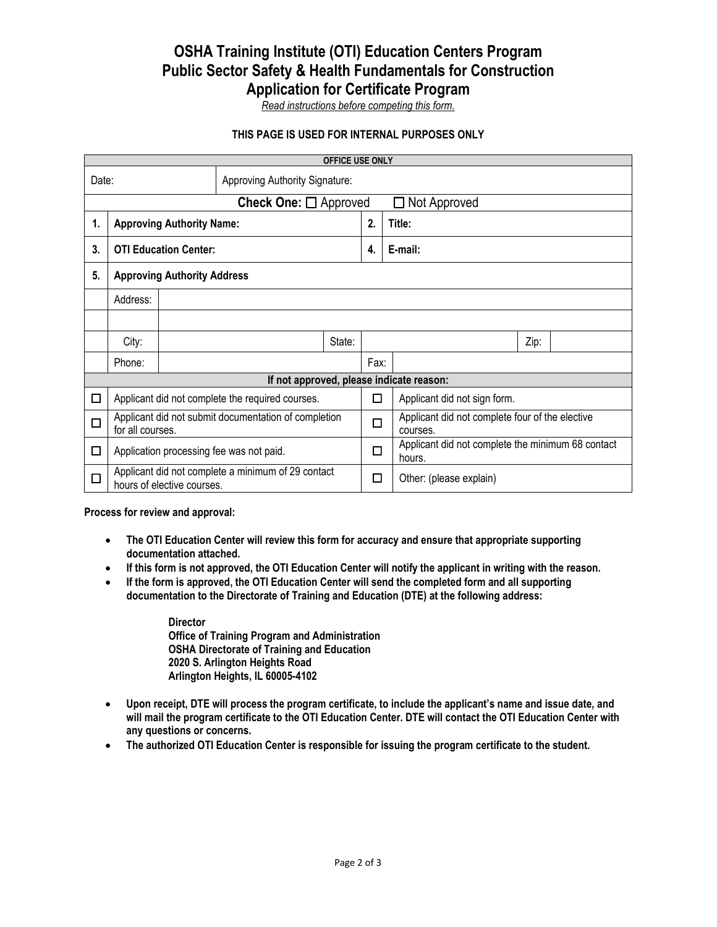# **OSHA Training Institute (OTI) Education Centers Program Public Sector Safety & Health Fundamentals for Construction Application for Certificate Program**

*Read instructions before competing this form.*

## **THIS PAGE IS USED FOR INTERNAL PURPOSES ONLY**

|                                          | <b>OFFICE USE ONLY</b>                                                           |  |  |  |  |                     |                                                             |  |  |  |
|------------------------------------------|----------------------------------------------------------------------------------|--|--|--|--|---------------------|-------------------------------------------------------------|--|--|--|
| Approving Authority Signature:<br>Date:  |                                                                                  |  |  |  |  |                     |                                                             |  |  |  |
| Check One: $\Box$ Approved               |                                                                                  |  |  |  |  | $\Box$ Not Approved |                                                             |  |  |  |
| 1.                                       | <b>Approving Authority Name:</b>                                                 |  |  |  |  |                     | Title:                                                      |  |  |  |
| 3.                                       | <b>OTI Education Center:</b>                                                     |  |  |  |  |                     | E-mail:                                                     |  |  |  |
| 5.                                       | <b>Approving Authority Address</b>                                               |  |  |  |  |                     |                                                             |  |  |  |
|                                          | Address:                                                                         |  |  |  |  |                     |                                                             |  |  |  |
|                                          |                                                                                  |  |  |  |  |                     |                                                             |  |  |  |
|                                          | City:<br>State:                                                                  |  |  |  |  | Zip:                |                                                             |  |  |  |
|                                          | Phone:                                                                           |  |  |  |  |                     |                                                             |  |  |  |
| If not approved, please indicate reason: |                                                                                  |  |  |  |  |                     |                                                             |  |  |  |
| □                                        | Applicant did not complete the required courses.                                 |  |  |  |  |                     | Applicant did not sign form.                                |  |  |  |
| $\Box$                                   | Applicant did not submit documentation of completion<br>for all courses.         |  |  |  |  |                     | Applicant did not complete four of the elective<br>courses. |  |  |  |
| □                                        | Application processing fee was not paid.                                         |  |  |  |  |                     | Applicant did not complete the minimum 68 contact<br>hours. |  |  |  |
| □                                        | Applicant did not complete a minimum of 29 contact<br>hours of elective courses. |  |  |  |  |                     | Other: (please explain)                                     |  |  |  |

**Process for review and approval:**

- **The OTI Education Center will review this form for accuracy and ensure that appropriate supporting documentation attached.**
- **If this form is not approved, the OTI Education Center will notify the applicant in writing with the reason.**
- **If the form is approved, the OTI Education Center will send the completed form and all supporting documentation to the Directorate of Training and Education (DTE) at the following address:**

**Director Office of Training Program and Administration OSHA Directorate of Training and Education 2020 S. Arlington Heights Road Arlington Heights, IL 60005-4102**

- **Upon receipt, DTE will process the program certificate, to include the applicant's name and issue date, and will mail the program certificate to the OTI Education Center. DTE will contact the OTI Education Center with any questions or concerns.**
- **The authorized OTI Education Center is responsible for issuing the program certificate to the student.**